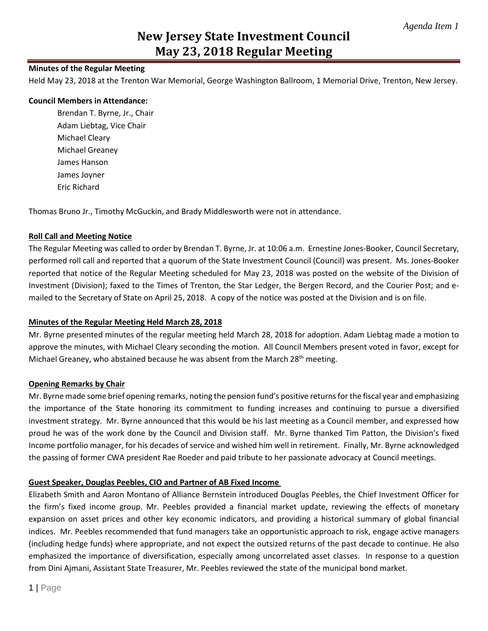# **New Jersey State Investment Council May 23, 2018 Regular Meeting**

## **Minutes of the Regular Meeting**

Held May 23, 2018 at the Trenton War Memorial, George Washington Ballroom, 1 Memorial Drive, Trenton, New Jersey.

#### **Council Members in Attendance:**

Brendan T. Byrne, Jr., Chair Adam Liebtag, Vice Chair Michael Cleary Michael Greaney James Hanson James Joyner Eric Richard

Thomas Bruno Jr., Timothy McGuckin, and Brady Middlesworth were not in attendance.

## **Roll Call and Meeting Notice**

The Regular Meeting was called to order by Brendan T. Byrne, Jr. at 10:06 a.m. Ernestine Jones-Booker, Council Secretary, performed roll call and reported that a quorum of the State Investment Council (Council) was present. Ms. Jones-Booker reported that notice of the Regular Meeting scheduled for May 23, 2018 was posted on the website of the Division of Investment (Division); faxed to the Times of Trenton, the Star Ledger, the Bergen Record, and the Courier Post; and emailed to the Secretary of State on April 25, 2018. A copy of the notice was posted at the Division and is on file.

#### **Minutes of the Regular Meeting Held March 28, 2018**

Mr. Byrne presented minutes of the regular meeting held March 28, 2018 for adoption. Adam Liebtag made a motion to approve the minutes, with Michael Cleary seconding the motion. All Council Members present voted in favor, except for Michael Greaney, who abstained because he was absent from the March 28<sup>th</sup> meeting.

#### **Opening Remarks by Chair**

Mr. Byrne made some brief opening remarks, noting the pension fund's positive returns for the fiscal year and emphasizing the importance of the State honoring its commitment to funding increases and continuing to pursue a diversified investment strategy. Mr. Byrne announced that this would be his last meeting as a Council member, and expressed how proud he was of the work done by the Council and Division staff. Mr. Byrne thanked Tim Patton, the Division's fixed Income portfolio manager, for his decades of service and wished him well in retirement. Finally, Mr. Byrne acknowledged the passing of former CWA president Rae Roeder and paid tribute to her passionate advocacy at Council meetings.

# **Guest Speaker, Douglas Peebles, CIO and Partner of AB Fixed Income**

Elizabeth Smith and Aaron Montano of Alliance Bernstein introduced Douglas Peebles, the Chief Investment Officer for the firm's fixed income group. Mr. Peebles provided a financial market update, reviewing the effects of monetary expansion on asset prices and other key economic indicators, and providing a historical summary of global financial indices. Mr. Peebles recommended that fund managers take an opportunistic approach to risk, engage active managers (including hedge funds) where appropriate, and not expect the outsized returns of the past decade to continue. He also emphasized the importance of diversification, especially among uncorrelated asset classes. In response to a question from Dini Ajmani, Assistant State Treasurer, Mr. Peebles reviewed the state of the municipal bond market.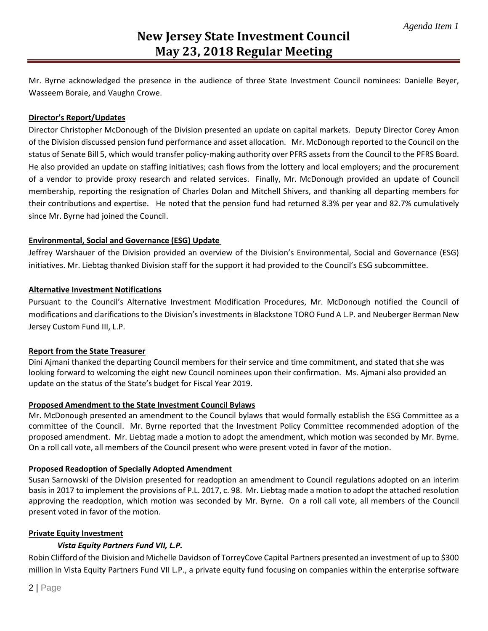Mr. Byrne acknowledged the presence in the audience of three State Investment Council nominees: Danielle Beyer, Wasseem Boraie, and Vaughn Crowe.

#### **Director's Report/Updates**

Director Christopher McDonough of the Division presented an update on capital markets. Deputy Director Corey Amon of the Division discussed pension fund performance and asset allocation. Mr. McDonough reported to the Council on the status of Senate Bill 5, which would transfer policy-making authority over PFRS assets from the Council to the PFRS Board. He also provided an update on staffing initiatives; cash flows from the lottery and local employers; and the procurement of a vendor to provide proxy research and related services. Finally, Mr. McDonough provided an update of Council membership, reporting the resignation of Charles Dolan and Mitchell Shivers, and thanking all departing members for their contributions and expertise. He noted that the pension fund had returned 8.3% per year and 82.7% cumulatively since Mr. Byrne had joined the Council.

#### **Environmental, Social and Governance (ESG) Update**

Jeffrey Warshauer of the Division provided an overview of the Division's Environmental, Social and Governance (ESG) initiatives. Mr. Liebtag thanked Division staff for the support it had provided to the Council's ESG subcommittee.

#### **Alternative Investment Notifications**

Pursuant to the Council's Alternative Investment Modification Procedures, Mr. McDonough notified the Council of modifications and clarifications to the Division's investments in Blackstone TORO Fund A L.P. and Neuberger Berman New Jersey Custom Fund III, L.P.

#### **Report from the State Treasurer**

Dini Ajmani thanked the departing Council members for their service and time commitment, and stated that she was looking forward to welcoming the eight new Council nominees upon their confirmation. Ms. Ajmani also provided an update on the status of the State's budget for Fiscal Year 2019.

#### **Proposed Amendment to the State Investment Council Bylaws**

Mr. McDonough presented an amendment to the Council bylaws that would formally establish the ESG Committee as a committee of the Council. Mr. Byrne reported that the Investment Policy Committee recommended adoption of the proposed amendment. Mr. Liebtag made a motion to adopt the amendment, which motion was seconded by Mr. Byrne. On a roll call vote, all members of the Council present who were present voted in favor of the motion.

#### **Proposed Readoption of Specially Adopted Amendment**

Susan Sarnowski of the Division presented for readoption an amendment to Council regulations adopted on an interim basis in 2017 to implement the provisions of P.L. 2017, c. 98. Mr. Liebtag made a motion to adopt the attached resolution approving the readoption, which motion was seconded by Mr. Byrne. On a roll call vote, all members of the Council present voted in favor of the motion.

#### **Private Equity Investment**

#### *Vista Equity Partners Fund VII, L.P.*

Robin Clifford of the Division and Michelle Davidson of TorreyCove Capital Partners presented an investment of up to \$300 million in Vista Equity Partners Fund VII L.P., a private equity fund focusing on companies within the enterprise software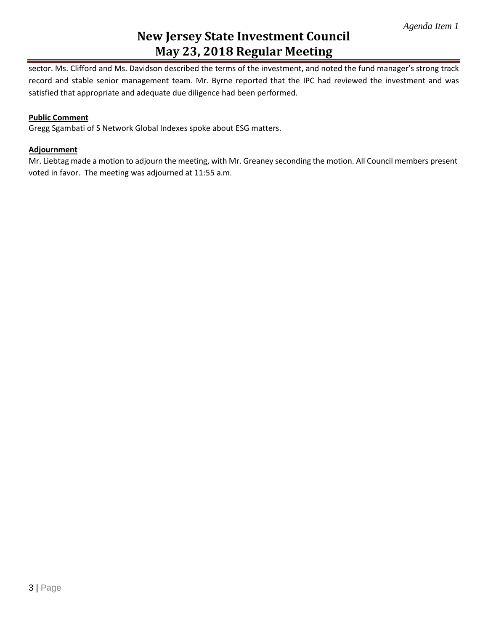# **New Jersey State Investment Council May 23, 2018 Regular Meeting**

sector. Ms. Clifford and Ms. Davidson described the terms of the investment, and noted the fund manager's strong track record and stable senior management team. Mr. Byrne reported that the IPC had reviewed the investment and was satisfied that appropriate and adequate due diligence had been performed.

## **Public Comment**

Gregg Sgambati of S Network Global Indexes spoke about ESG matters.

### **Adjournment**

Mr. Liebtag made a motion to adjourn the meeting, with Mr. Greaney seconding the motion. All Council members present voted in favor. The meeting was adjourned at 11:55 a.m.